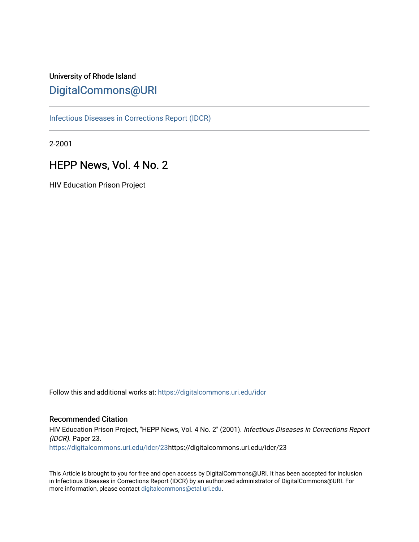# University of Rhode Island [DigitalCommons@URI](https://digitalcommons.uri.edu/)

[Infectious Diseases in Corrections Report \(IDCR\)](https://digitalcommons.uri.edu/idcr)

2-2001

# HEPP News, Vol. 4 No. 2

HIV Education Prison Project

Follow this and additional works at: [https://digitalcommons.uri.edu/idcr](https://digitalcommons.uri.edu/idcr?utm_source=digitalcommons.uri.edu%2Fidcr%2F23&utm_medium=PDF&utm_campaign=PDFCoverPages)

### Recommended Citation

HIV Education Prison Project, "HEPP News, Vol. 4 No. 2" (2001). Infectious Diseases in Corrections Report (IDCR). Paper 23. [https://digitalcommons.uri.edu/idcr/23h](https://digitalcommons.uri.edu/idcr/23?utm_source=digitalcommons.uri.edu%2Fidcr%2F23&utm_medium=PDF&utm_campaign=PDFCoverPages)ttps://digitalcommons.uri.edu/idcr/23

This Article is brought to you for free and open access by DigitalCommons@URI. It has been accepted for inclusion in Infectious Diseases in Corrections Report (IDCR) by an authorized administrator of DigitalCommons@URI. For more information, please contact [digitalcommons@etal.uri.edu.](mailto:digitalcommons@etal.uri.edu)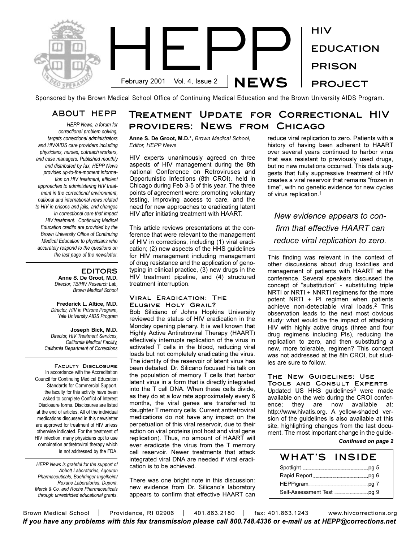

Sponsored by the Brown Medical School Office of Continuing Medical Education and the Brown University AIDS Program.

### **ABOUT HEPP**

*HEPP News, a forum for correctional problem solving, targets correctional administrators and HIV/AIDS care providers including physicians, nurses, outreach workers, and case managers. Published monthly and distributed by fax, HEPP News provides up-to-the-moment information on HIV treatment, efficient approaches to administering HIV treatment in the correctional environment, national and international news related to HIV in prisons and jails, and changes in correctional care that impact HIV treatment. Continuing Medical Education credits are provided by the Brown University Office of Continuing Medical Education to physicians who accurately respond to the questions on the last page of the newsletter.* 

### **EDITORS Anne S. De Groot, M.D.** *Director, TB/HIV Research Lab,*

*Brown Medical School*

**Frederick L. Altice, M.D.** *Director, HIV in Prisons Program, Yale University AIDS Program*

**Joseph Bick, M.D.** *Director, HIV Treatment Services, California Medical Facility, California Department of Corrections*

**Faculty Disclosure**  In accordance with the Accreditation Council for Continuing Medical Education Standards for Commercial Support, the faculty for this activity have been asked to complete Conflict of Interest Disclosure forms. Disclosures are listed at the end of articles. All of the individual medications discussed in this newsletter are approved for treatment of HIV unless otherwise indicated. For the treatment of HIV infection, many physicians opt to use combination antiretroviral therapy which is not addressed by the FDA.

*HEPP News is grateful for the support of Abbott Laboratories, Agouron Pharmaceuticals, Boehringer-Ingelheim/ Roxane Laboratories, Dupont, Merck & Co. and Roche Pharmaceuticals through unrestricted educational grants.*

## **Treatment Update for Correctional HIV providers: News from Chicago**

**Anne S. De Groot, M.D.\*,** *Brown Medical School, Editor, HEPP News*

HIV experts unanimously agreed on three aspects of HIV management during the 8th national Conference on Retroviruses and Opportunistic Infections (8th CROI), held in Chicago during Feb 3-5 of this year. The three points of agreement were: promoting voluntary testing, improving access to care, and the need for new approaches to eradicating latent HIV after initiating treatment with HAART.

This article reviews presentations at the conference that were relevant to the management of HIV in corrections, including (1) viral eradication; (2) new aspects of the HHS guidelines for HIV management including management of drug resistance and the application of genotyping in clinical practice, (3) new drugs in the HIV treatment pipeline, and (4) structured treatment interruption.

### **Viral Eradication: The Elusive Holy Grail?**

Bob Siliciano of Johns Hopkins University reviewed the status of HIV eradication in the Monday opening plenary. It is well known that Highly Active Antiretroviral Therapy (HAART) effectively interrupts replication of the virus in activated T cells in the blood, reducing viral loads but not completely eradicating the virus. The identity of the reservoir of latent virus has been debated. Dr. Silicano focused his talk on the population of memory T cells that harbor latent virus in a form that is directly integrated into the T cell DNA. When these cells divide, as they do at a low rate approximately every 6 months, the viral genes are transferred to daughter T memory cells. Current antiretroviral medications do not have any impact on the perpetuation of this viral reservoir, due to their action on viral proteins (not host and viral gene replication). Thus, no amount of HAART will ever eradicate the virus from the T memory cell reservoir. Newer treatments that attack integrated viral DNA are needed if viral eradication is to be achieved.

There was one bright note in this discussion: new evidence from Dr. Silicano's laboratory appears to confirm that effective HAART can reduce viral replication to zero. Patients with a history of having been adherent to HAART over several years continued to harbor virus that was resistant to previously used drugs, but no new mutations occurred. This data suggests that fully suppressive treatment of HIV creates a viral reservoir that remains "frozen in time", with no genetic evidence for new cycles of virus replication.1

*New evidence appears to confirm that effective HAART can reduce viral replication to zero.*

This finding was relevant in the context of other discussions about drug toxicities and management of patients with HAART at the conference. Several speakers discussed the concept of "substitution" - substituting triple NRTI or NRTI + NNRTI regimens for the more potent NRTI + PI regimen when patients achieve non-detectable viral loads.2 This observation leads to the next most obvious study: what would be the impact of attacking HIV with highly active drugs (three and four drug regimens including PIs), reducing the replication to zero, and then substituting a new, more tolerable, regimen? This concept was not addressed at the 8th CROI, but studies are sure to follow.

### **The New Guidelines: Use**

**Tools and Consult Experts** Updated US HHS guidelines<sup>3</sup> were made available on the web during the CROI conference; they are now available at: http://www.hivatis.org. A yellow-shaded version of the guidelines is also available at this site, highlighting changes from the last document. The most important change in the guide-

*Continued on page 2*

| WHAT'S | <b>INSIDE</b> |
|--------|---------------|
|        |               |
|        |               |
|        |               |
|        |               |

Brown Medical School | Providence, RI 02906 | 401.863.2180 | fax: 401.863.1243 | www.hivcorrections.org *If you have any problems with this fax transmission please call 800.748.4336 or e-mail us at HEPP@corrections.net*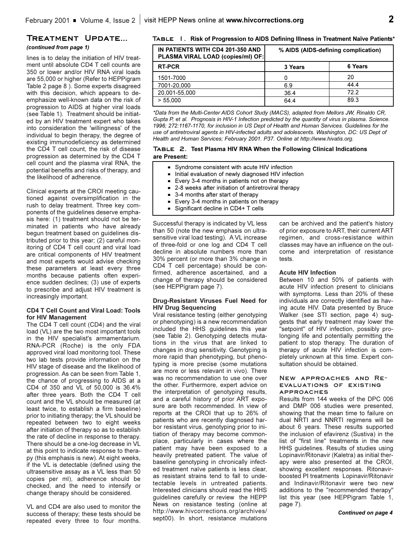### **Treatment Update...** *(continued from page 1)*

lines is to delay the initiation of HIV treatment until absolute CD4 T cell counts are 350 or lower and/or HIV RNA viral loads are 55,000 or higher (Refer to HEPPigram Table 2 page 8 ). Some experts disagreed with this decision, which appears to deemphasize well-known data on the risk of progression to AIDS at higher viral loads (see Table 1). Treatment should be initiated by an HIV treatment expert who takes into consideration the 'willingness' of the individual to begin therapy, the degree of existing immunodeficiency as determined the CD4 T cell count, the risk of disease progression as determined by the CD4 T cell count and the plasma viral RNA, the potential benefits and risks of therapy, and the likelihood of adherence.

Clinical experts at the CROI meeting cautioned against oversimplification in the rush to delay treatment. Three key components of the guidelines deserve emphasis here: (1) treatment should not be terminated in patients who have already begun treatment based on guidelines distributed prior to this year; (2) careful monitoring of CD4 T cell count and viral load are critical components of HIV treatment and most experts would advise checking these parameters at least every three months because patients often experience sudden declines; (3) use of experts to prescribe and adjust HIV treatment is increasingly important.

### **CD4 T Cell Count and Viral Load: Tools for HIV Management**

The CD4 T cell count (CD4) and the viral load (VL) are the two most important tools in the HIV specialist's armamentarium. RNA-PCR (Roche) is the only FDA approved viral load monitoring tool. These two lab tests provide information on the HIV stage of disease and the likelihood of progression. As can be seen from Table 1, the chance of progressing to AIDS at a CD4 of 350 and VL of 50,000 is 36.4% after three years. Both the CD4 T cell count and the VL should be measured (at least twice, to establish a firm baseline) prior to initiating therapy; the VL should be repeated between two to eight weeks after initiation of therapy so as to establish the rate of decline in response to therapy. There should be a one-log decrease in VL at this point to indicate response to therapy (this emphasis is new). At eight weeks, if the VL is detectable (defined using the ultrasensitive assay as a VL less than 50 copies per ml), adherence should be checked, and the need to intensify or change therapy should be considered.

VL and CD4 are also used to monitor the success of therapy; these tests should be repeated every three to four months.

### **Table 1. Risk of Progression to AIDS Defining Illness in Treatment Naïve Patients\***

| IN PATIENTS WITH CD4 201-350 AND<br>PLASMA VIRAL LOAD (copies/ml) OF: |         | % AIDS (AIDS-defining complication) |
|-----------------------------------------------------------------------|---------|-------------------------------------|
| <b>RT-PCR</b>                                                         | 3 Years | 6 Years                             |
| 1501-7000                                                             |         | 20                                  |
| 7001-20.000                                                           | 6.9     | 44.4                                |
| 20,001-55,000                                                         | 36.4    | 72.2                                |
| > 55.000                                                              | 64.4    | 89.3                                |

*\*Data from the Multi-Center AIDS Cohort Study (MACS), adapted from Mellors JW, Rinaldo CR, Gupta P, et al. Prognosis in HIV-1 Infection predicted by the quantity of virus in plasma. Science. 1996; 272:1167-1170, for inclusion in US Dept of Health and Human Services. Guidelines for the use of antiretroviral agents in HIV-infected adults and adolescents. Washington, DC: US Dept of Health and Human Services; February 2001. P37. Online at http://www.hivatis.org.*

### **Table 2. Test Plasma HIV RNA When the Following Clinical Indications are Present:**

- Syndrome consistent with acute HIV infection
- Initial evaluation of newly diagnosed HIV infection
- Every 3-4 months in patients not on therapy
- $=$  2-8 weeks after initiation of antiretroviral therapy
- $\blacksquare$  3-4 months after start of therapy
- Every 3-4 months in patients on therapy
- Gignificant decline in  $CD4+T$  cells

Successful therapy is indicated by VL less than 50 (note the new emphasis on ultrasensitive viral load testing). A VL increase of three-fold or one log and CD4 T cell decline in absolute numbers more than 30% percent (or more than 3% change in CD4 T cell percentage) should be confirmed, adherence ascertained, and a change of therapy should be considered (see HEPPigram page 7).

### **Drug-Resistant Viruses Fuel Need for HIV Drug Sequencing**

Viral resistance testing (either genotyping or phenotyping) is a new recommendation included the HHS guidelines this year (see Table 2). Genotyping detects mutations in the virus that are linked to changes in drug sensitivity. Genotyping is more rapid than phenotyping, but phenotyping is more precise (some mutations are more or less relevant in vivo). There was no recommendation to use one over the other. Furthermore, expert advice on the interpretation of genotyping results, and a careful history of prior ART exposure are both recommended. In view of reports at the CROI that up to 26% of patients who are recently diagnosed harbor resistant virus, genotyping prior to initiation of therapy may become commonplace, particularly in cases where the patient may have been exposed to a heavily pretreated patient. The value of baseline genotyping in chronically infected treatment naïve patients is less clear, as resistant strains tend to fall to undetectable levels in untreated patients. Interested clinicians should read the HHS guidelines carefully or review the HEPP News on resistance testing (online at http://www.hivcorrections.org/archives/ sept00). In short, resistance mutations

can be archived and the patient's history of prior exposure to ART, their current ART regimen, and cross-resistance within classes may have an influence on the outcome and interpretation of resistance tests.

### **Acute HIV Infection**

Between 10 and 50% of patients with acute HIV infection present to clinicians with symptoms. Less than 20% of these individuals are correctly identified as having acute HIV. Data presented by Bruce Walker (see STI section, page 4) suggests that early treatment may lower the "setpoint" of HIV infection, possibly prolonging life and potentially permitting the patient to stop therapy. The duration of therapy of acute HIV infection is completely unknown at this time. Expert consultation should be obtained.

### **New approaches and Reevaluations of existing approaches**

Results from 144 weeks of the DPC 006 and DMP 006 studies were presented, showing that the mean time to failure on dual NRTI and NNRTI regimens will be about 6 years. These results supported the inclusion of efavirenz (Sustiva) in the list of "first line" treatments in the new HHS guidelines. Results of studies using Lopinavir/Ritonavir (Kaletra) as initial therapy were also presented at the CROI, showing excellent responses. Ritonavirboosted PI treatments Lopinavir/Ritonavir and Indinavir/Ritonavir were two new additions to the "recommended therapy" list this year (see HEPPigram Table 1, page 7).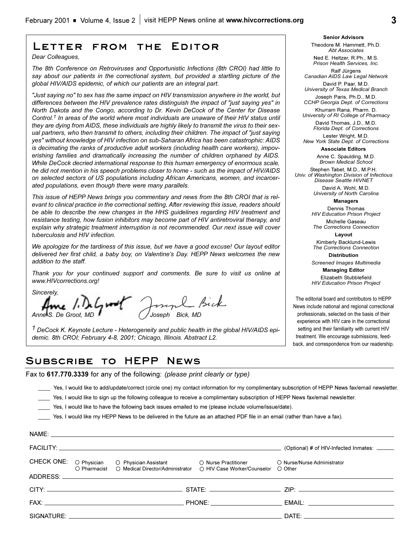## **Letter from the Editor**

*Dear Colleagues,*

*The 8th Conference on Retroviruses and Opportunistic Infections (8th CROI) had little to say about our patients in the correctional system, but provided a startling picture of the global HIV/AIDS epidemic, of which our patients are an integral part.* 

*"Just saying no" to sex has the same impact on HIV transmission anywhere in the world, but differences between the HIV prevalence rates distinguish the impact of "just saying yes" in North Dakota and the Congo, according to Dr. Kevin DeCock of the Center for Disease Control.1 In areas of the world where most individuals are unaware of their HIV status until they are dying from AIDS, these individuals are highly likely to transmit the virus to their sexual partners, who then transmit to others, including their children. The impact of "just saying yes" without knowledge of HIV infection on sub-Saharan Africa has been catastrophic: AIDS is decimating the ranks of productive adult workers (including health care workers), impoverishing families and dramatically increasing the number of children orphaned by AIDS. While DeCock decried international response to this human emergency of enormous scale, he did not mention in his speech problems closer to home - such as the impact of HIV/AIDS on selected sectors of US populations including African Americans, women, and incarcerated populations, even though there were many parallels.*

*This issue of HEPP News brings you commentary and news from the 8th CROI that is relevant to clinical practice in the correctional setting. After reviewing this issue, readers should be able to describe the new changes in the HHS guidelines regarding HIV treatment and resistance testing, how fusion inhibitors may become part of HIV antiretroviral therapy, and explain why strategic treatment interruption is not recommended. Our next issue will cover tuberculosis and HIV infection.*

*We apologize for the tardiness of this issue, but we have a good excuse! Our layout editor delivered her first child, a baby boy, on Valentine's Day. HEPP News welcomes the new addition to the staff.*

*Thank you for your continued support and comments. Be sure to visit us online at www.HIVcorrections.org!* 

*Sincerely,*

*Anne S. De Groot, MD Joseph Bick, MD*

*1 DeCock K. Keynote Lecture - Heterogeneity and public health in the global HIV/AIDS epidemic. 8th CROI; February 4-8, 2001; Chicago, Illinois. Abstract L2.* 

## **Subscribe to HEPP News**

Fax to **617.770.3339** for any of the following: *(please print clearly or type)*

\_\_\_\_ Yes, I would like to add/update/correct (circle one) my contact information for my complimentary subscription of HEPP News fax/email newsletter.

- Yes, I would like to sign up the following colleague to receive a complimentary subscription of HEPP News fax/email newsletter.
- \_\_\_\_ Yes, I would like to have the following back issues emailed to me (please include volume/issue/date).

\_\_\_\_ Yes, I would like my HEPP News to be delivered in the future as an attached PDF file in an email (rather than have a fax).

|  |                                                                                                                                                                                 | (Optional) # of HIV-Infected Inmates: _____ |  |
|--|---------------------------------------------------------------------------------------------------------------------------------------------------------------------------------|---------------------------------------------|--|
|  | CHECK ONE: O Physician O Physician Assistant O Nurse Practitioner O Nurse/Nurse Administrator O Pharmacist O Medical Director/Administrator O HIV Case Worker/Counselor O Other |                                             |  |
|  |                                                                                                                                                                                 |                                             |  |
|  |                                                                                                                                                                                 |                                             |  |
|  |                                                                                                                                                                                 |                                             |  |
|  |                                                                                                                                                                                 |                                             |  |
|  |                                                                                                                                                                                 |                                             |  |

#### **Senior Advisors** Theodore M. Hammett, Ph.D. *Abt Associates*

Ned E. Heltzer, R.Ph., M.S. *Prison Health Services, Inc.*

Ralf Jürgens *Canadian AIDS Law Legal Network*

David P. Paar, M.D. *University of Texas Medical Branch*

Joseph Paris, Ph.D., M.D. *CCHP Georgia Dept. of Corrections*  Khurram Rana, Pharm. D.

*University of RI College of Pharmacy* David Thomas, J.D., M.D. *Florida Dept. of Corrections* Lester Wright, M.D.

*New York State Dept. of Corrections* **Associate Editors**

> Anne C. Spaulding, M.D. *Brown Medical School*

Stephen Tabet, M.D., M.P.H. *Univ. of Washington Division of Infectious Disease Seattle HIVNET*

> David A. Wohl, M.D. *University of North Carolina*

> > **Managers** Dennis Thomas

*HIV Education Prison Project* Michelle Gaseau

*The Corrections Connection* **Layout** Kimberly Backlund-Lewis

*The Corrections Connection* **Distribution**

*Screened Images Multimedia*

**Managing Editor**  Elizabeth Stubblefield *HIV Education Prison Project*

The editorial board and contributors to HEPP News include national and regional correctional professionals, selected on the basis of their experience with HIV care in the correctional setting and their familiarity with current HIV treatment. We encourage submissions, feedback, and correspondence from our readership.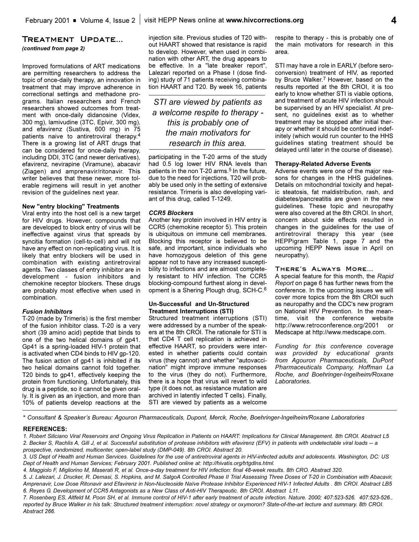### **Treatment Update...**

*(continued from page 2)*

Improved formulations of ART medications are permitting researchers to address the topic of once-daily therapy, an innovation in treatment that may improve adherence in correctional settings and methadone programs. Italian researchers and French researchers showed outcomes from treatment with once-daily didanosine (Videx, 300 mg), lamivudine (3TC, Epivir, 300 mg), and efavirenz (Sustiva, 600 mg) in 75 patients naive to antiretroviral therapy.4 There is a growing list of ART drugs that can be considered for once-daily therapy, including DDI, 3TC (and newer derivatives), efavirenz, nevirapine (Viramune), abacavir (Ziagen) and amprenavir/ritonavir. This writer believes that these newer, more tolerable regimens will result in yet another revision of the guidelines next year.

### **New "entry blocking" Treatments**

Viral entry into the host cell is a new target for HIV drugs. However, compounds that are developed to block entry of virus will be ineffective against virus that spreads by syncitia formation (cell-to-cell) and will not have any effect on non-replicating virus. It is likely that entry blockers will be used in combination with existing antiretroviral agents. Two classes of entry inhibitor are in development - fusion inhibitors and chemokine receptor blockers. These drugs are probably most effective when used in combination.

### *Fusion Inhibitors*

T-20 (made by Trimeris) is the first member of the fusion inhibitor class. T-20 is a very short (39 amino acid) peptide that binds to one of the two helical domains of gp41. Gp41 is a spring-loaded HIV-1 protein that is activated when CD4 binds to HIV gp-120. The fusion action of gp41 is inhibited if its two helical domains cannot fold together. T20 binds to gp41, effectively keeping the protein from functioning. Unfortunately, this drug is a peptide, so it cannot be given orally. It is given as an injection, and more than 10% of patients develop reactions at the injection site. Previous studies of T20 without HAART showed that resistance is rapid to develop. However, when used in combination with other ART, the drug appears to be effective. In a "late breaker report", Lalezari reported on a Phase I (dose finding) study of 71 patients receiving combination HAART and T20. By week 16, patients

*STI are viewed by patients as a welcome respite to therapy this is probably one of the main motivators for research in this area.*

participating in the T-20 arms of the study had 0.5 log lower HIV RNA levels than patients in the non T-20 arms.<sup>5</sup> In the future, due to the need for injections, T20 will probably be used only in the setting of extensive resistance. Trimeris is also developing variant of this drug, called T-1249.

### *CCR5 Blockers*

Another key protein involved in HIV entry is CCR5 (chemokine receptor 5). This protein is ubiquitous on immune cell membranes. Blocking this receptor is believed to be safe, and important, since individuals who have homozygous deletion of this gene appear not to have any increased susceptibility to infections and are almost completely resistant to HIV infection. The CCR5 blocking-compound furthest along in development is a Shering Plough drug, SCH-C.6

### **Un-Successful and Un-Structured Treatment Interruptions (STI)**

Structured treatment interruptions (STI) were addressed by a number of the speakers at the 8th CROI. The rationale for STI is that CD4 T cell replication is achieved in effective HAART, so providers were interested in whether patients could contain virus (they cannot) and whether "autovaccination" might improve immune responses to the virus (they do not). Furthermore, there is a hope that virus will revert to wild type (it does not, as resistance mutation are archived in latently infected T cells). Finally, STI are viewed by patients as a welcome

respite to therapy - this is probably one of the main motivators for research in this area.

STI may have a role in EARLY (before seroconversion) treatment of HIV, as reported by Bruce Walker.<sup>7</sup> However, based on the results reported at the 8th CROI, it is too early to know whether STI is viable options, and treatment of acute HIV infection should be supervised by an HIV specialist. At present, no guidelines exist as to whether treatment may be stopped after initial therapy or whether it should be continued indefinitely (which would run counter to the HHS guidelines stating treatment should be delayed until later in the course of disease).

#### **Therapy-Related Adverse Events**

Adverse events were one of the major reasons for changes in the HHS guidelines. Details on mitochondrial toxicity and hepatic steatosis, fat maldistribution, rash, and diabetes/pancreatitis are given in the new guidelines. These topic and neuropathy were also covered at the 8th CROI. In short, concern about side effects resulted in changes in the guidelines for the use of antiretroviral therapy this year (see HEPPigram Table  $1$ , page  $7$  and the upcoming HEPP News issue in April on neuropathy).

### **There's Always More**

A special feature for this month, the *Rapid Report* on page 6 has further news from the conference. In the upcoming issues we will cover more topics from the 8th CROI such as neuropathy and the CDC's new program on National HIV Prevention. In the meantime, visit the conference website http://www.retroconference.org/2001 Medscape at http://www.medscape.com.

*Funding for this conference coverage was provided by educational grants from Agouron Pharmaceuticals, DuPont Pharmaceuticals Company, Hoffman La Roche, and Boehringer-Ingelheim/Roxane Laboratories.*

\* *Consultant & Speakers Bureau: Agouron Pharmaceuticals, Dupont, Merck, Roche, Boehringer-Ingelheim/Roxane Laboratories*

#### **REFERENCES:**

*1. Robert Siliciano Viral Reservoirs and Ongoing Virus Replication in Patients on HAART: Implications for Clinical Management. 8th CROI. Abstract L5 2. Becker S, Rachlis A, Gill J, et al. Successful substitution of protease inhibitors with efavirenz (EFV) in patients with undetectable viral loads -- a prospective, randomized, multicenter, open-label study (DMP-049). 8th CROI. Abstract 20.* 

*<sup>3.</sup> US Dept of Health and Human Services. Guidelines for the use of antiretroviral agents in HIV-infected adults and adolescents. Washington, DC: US Dept of Health and Human Services; February 2001. Published online at: http://hivatis.org/trtgdlns.html.* 

*<sup>4.</sup> Maggiolo F, Migliorino M, Maserati R, et al. Once-a-day treatment for HIV infection: final 48-week results. 8th CRO. Abstract 320.* 

*<sup>5.</sup> J. Lalezari, J. Drucker, R. Demasi, S. Hopkins, and M. SalgoA Controlled Phase II Trial Assessing Three Doses of T-20 in Combination with Abacavir, Amprenavir, Low Dose Ritonavir and Efavirenz in Non-Nucleoside Naïve Protease Inhibitor Experienced HIV-1 Infected Adults . 8th CROI. Abstract LB5 6. Reyes G. Development of CCR5 Antagonists as a New Class of Anti-HIV Therapeutic. 8th CROI. Abstract L11.* 

*<sup>7.</sup> Rosenberg ES, Altfeld M, Poon SH, et al. Immune control of HIV-1 after early treatment of acute infection. Nature. 2000; 407:523-526. 407:523-526., reported by Bruce Walker in his talk: Structured treatment interruption: novel strategy or oxymoron? State-of-the-art lecture and summary. 8th CROI. Abstract 266.*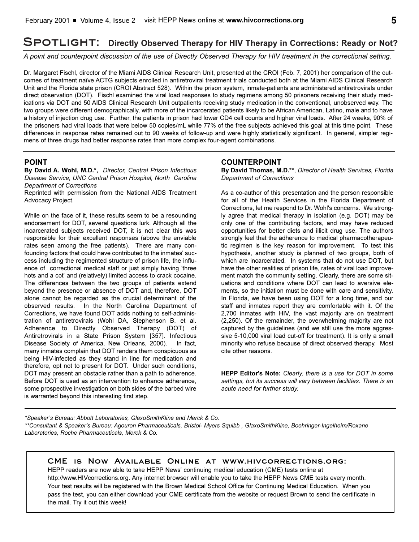## **Spotlight: Directly Observed Therapy for HIV Therapy in Corrections: Ready or Not?**

*A point and counterpoint discussion of the use of Directly Observed Therapy for HIV treatment in the correctional setting.*

Dr. Margaret Fischl, director of the Miami AIDS Clinical Research Unit, presented at the CROI (Feb. 7, 2001) her comparison of the outcomes of treatment naïve ACTG subjects enrolled in antiretroviral treatment trials conducted both at the Miami AIDS Clinical Research Unit and the Florida state prison (CROI Abstract 528). Within the prison system, inmate-patients are administered antiretrovirals under direct observation (DOT). Fischl examined the viral load responses to study regimens among 50 prisoners receiving their study medications via DOT and 50 AIDS Clinical Research Unit outpatients receiving study medication in the conventional, unobserved way. The two groups were different demographically, with more of the incarcerated patients likely to be African American, Latino, male and to have a history of injection drug use. Further, the patients in prison had lower CD4 cell counts and higher viral loads. After 24 weeks, 90% of the prisoners had viral loads that were below 50 copies/mL while 77% of the free subjects achieved this goal at this time point. These differences in response rates remained out to 90 weeks of follow-up and were highly statistically significant. In general, simpler regimens of three drugs had better response rates than more complex four-agent combinations.

### **POINT**

**By David A. Wohl, M.D.\*,** *Director, Central Prison Infectious Disease Service, UNC Central Prison Hospital, North Carolina Department of Corrections*

Reprinted with permission from the National AIDS Treatment Advocacy Project.

While on the face of it, these results seem to be a resounding endorsement for DOT, several questions lurk. Although all the incarcerated subjects received DOT, it is not clear this was responsible for their excellent responses (above the enviable rates seen among the free patients). There are many confounding factors that could have contributed to the inmates' success including the regimented structure of prison life, the influence of correctional medical staff or just simply having 'three hots and a cot' and (relatively) limited access to crack cocaine. The differences between the two groups of patients extend beyond the presence or absence of DOT and, therefore, DOT alone cannot be regarded as the crucial determinant of the observed results. In the North Carolina Department of Corrections, we have found DOT adds nothing to self-administration of antiretrovirals (Wohl DA, Stephenson B, et al. Adherence to Directly Observed Therapy (DOT) of Antiretrovirals in a State Prison System [357]. Infectious Disease Society of America, New Orleans, 2000). In fact, many inmates complain that DOT renders them conspicuous as being HIV-infected as they stand in line for medication and therefore, opt not to present for DOT. Under such conditions, DOT may present an obstacle rather than a path to adherence. Before DOT is used as an intervention to enhance adherence, some prospective investigation on both sides of the barbed wire is warranted beyond this interesting first step.

### **COUNTERPOINT**

**By David Thomas, M.D.\*\***, *Director of Health Services, Florida Department of Corrections*

As a co-author of this presentation and the person responsible for all of the Health Services in the Florida Department of Corrections, let me respond to Dr. Wohl's concerns. We strongly agree that medical therapy in isolation (e.g. DOT) may be only one of the contributing factors, and may have reduced opportunities for better diets and illicit drug use. The authors strongly feel that the adherence to medical pharmacotherapeutic regimen is the key reason for improvement. To test this hypothesis, another study is planned of two groups, both of which are incarcerated. In systems that do not use DOT, but have the other realities of prison life, rates of viral load improvement match the community setting. Clearly, there are some situations and conditions where DOT can lead to aversive elements, so the initiation must be done with care and sensitivity. In Florida, we have been using DOT for a long time, and our staff and inmates report they are comfortable with it. Of the 2,700 inmates with HIV, the vast majority are on treatment (2,250). Of the remainder, the overwhelming majority are not captured by the guidelines (and we still use the more aggressive 5-10,000 viral load cut-off for treatment). It is only a small minority who refuse because of direct observed therapy. Most cite other reasons.

**HEPP Editor's Note:** *Clearly, there is a use for DOT in some settings, but its success will vary between facilities. There is an acute need for further study.*

\*Speaker's Bureau: Abbott Laboratories, GlaxoSmithKline and Merck & Co. \*\*Consultant & Speaker's Bureau: Agouron Pharmaceuticals, Bristol- Myers Squibb, GlaxoSmithKline, Boehringer-Ingelheim/Roxane *Laboratories, Roche Pharmaceuticals, Merck & Co.*

**CME is Now Available Online at www.hivcorrections.org:**

HEPP readers are now able to take HEPP News' continuing medical education (CME) tests online at http://www.HIVcorrections.org. Any internet browser will enable you to take the HEPP News CME tests every month. Your test results will be registered with the Brown Medical School Office for Continuing Medical Education. When you pass the test, you can either download your CME certificate from the website or request Brown to send the certificate in the mail. Try it out this week!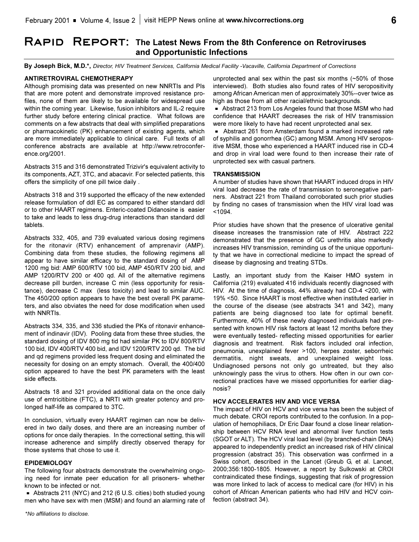# RAPID REPORT: The Latest News From the 8th Conference on Retroviruses **and Opportunistic Infections**

**By Joseph Bick, M.D.\*,** *Director, HIV Treatment Services, California Medical Facility -Vacaville, California Department of Corrections*

### **ANTIRETROVIRAL CHEMOTHERAPY**

Although promising data was presented on new NNRTIs and PIs that are more potent and demonstrate improved resistance profiles, none of them are likely to be available for widespread use within the coming year. Likewise, fusion inhibitors and IL-2 require further study before entering clinical practice. What follows are comments on a few abstracts that deal with simplified preparations or pharmacokinetic (PK) enhancement of existing agents, which are more immediately applicable to clinical care. Full texts of all conference abstracts are available at http://www.retroconference.org/2001.

Abstracts 315 and 316 demonstrated Trizivir's equivalent activity to its components, AZT, 3TC, and abacavir. For selected patients, this offers the simplicity of one pill twice daily .

Abstracts 318 and 319 supported the efficacy of the new extended release formulation of ddI EC as compared to either standard ddI or to other HAART regimens. Enteric-coated Didanosine is easier to take and leads to less drug-drug interactions than standard ddI tablets.

Abstracts 332, 405, and 739 evaluated various dosing regimens for the ritonavir (RTV) enhancement of amprenavir (AMP). Combining data from these studies, the following regimens all appear to have similar efficacy to the standard dosing of AMP 1200 mg bid: AMP 600/RTV 100 bid, AMP 450/RTV 200 bid, and AMP 1200/RTV 200 or 400 qd. All of the alternative regimens decrease pill burden, increase C min (less opportunity for resistance), decrease C max (less toxicity) and lead to similar AUC. The 450/200 option appears to have the best overall PK parameters, and also obviates the need for dose modification when used with NNRTIs.

Abstracts 334, 335, and 336 studied the PKs of ritonavir enhancement of indinavir (IDV). Pooling data from these three studies, the standard dosing of IDV 800 mg tid had similar PK to IDV 800/RTV 100 bid, IDV 400/RTV 400 bid, and IDV 1200/RTV 200 qd. The bid and qd regimens provided less frequent dosing and eliminated the necessity for dosing on an empty stomach. Overall, the 400/400 option appeared to have the best PK parameters with the least side effects.

Abstracts 18 and 321 provided additional data on the once daily use of emtricitibine (FTC), a NRTI with greater potency and prolonged half-life as compared to 3TC.

In conclusion, virtually every HAART regimen can now be delivered in two daily doses, and there are an increasing number of options for once daily therapies. In the correctional setting, this will increase adherence and simplify directly observed therapy for those systems that chose to use it.

### **EPIDEMIOLOGY**

The following four abstracts demonstrate the overwhelming ongoing need for inmate peer education for all prisoners- whether known to be infected or not.

Abstracts 211 (NYC) and 212 (6 U.S. cities) both studied young men who have sex with men (MSM) and found an alarming rate of

unprotected anal sex within the past six months (~50% of those interviewed). Both studies also found rates of HIV seropositivity among African American men of approximately 30%--over twice as high as those from all other racial/ethnic backgrounds.

**B** Abstract 213 from Los Angeles found that those MSM who had confidence that HAART decreases the risk of HIV transmission were more likely to have had recent unprotected anal sex.

- Abstract 261 from Amsterdam found a marked increased rate of syphilis and gonorrhea (GC) among MSM. Among HIV seropositive MSM, those who experienced a HAART induced rise in CD-4 and drop in viral load were found to then increase their rate of unprotected sex with casual partners.

### **TRANSMISSION**

A number of studies have shown that HAART induced drops in HIV viral load decrease the rate of transmission to seronegative partners. Abstract 221 from Thailand corroborated such prior studies by finding no cases of transmission when the HIV viral load was  $< 1094.$ 

Prior studies have shown that the presence of ulcerative genital disease increases the transmission rate of HIV. Abstract 222 demonstrated that the presence of GC urethritis also markedly increases HIV transmission, reminding us of the unique opportunity that we have in correctional medicine to impact the spread of disease by diagnosing and treating STDs.

Lastly, an important study from the Kaiser HMO system in California (219) evaluated 416 individuals recently diagnosed with HIV. At the time of diagnosis, 44% already had CD-4 <200, with 19% <50. Since HAART is most effective when instituted earlier in the course of the disease (see abstracts 341 and 342), many patients are being diagnosed too late for optimal benefit. Furthermore, 40% of these newly diagnosed individuals had presented with known HIV risk factors at least 12 months before they were eventually tested- reflecting missed opportunities for earlier diagnosis and treatment. Risk factors included oral infection, pneumonia, unexplained fever >100, herpes zoster, seborrheic dermatitis, night sweats, and unexplained weight loss. Undiagnosed persons not only go untreated, but they also unknowingly pass the virus to others. How often in our own correctional practices have we missed opportunities for earlier diagnosis?

### **HCV ACCELERATES HIV AND VICE VERSA**

The impact of HIV on HCV and vice versa has been the subject of much debate. CROI reports contributed to the confusion. In a population of hemophiliacs, Dr Eric Daar found a close linear relationship between HCV RNA level and abnormal liver function tests (SGOT or ALT). The HCV viral load level (by branched-chain DNA) appeared to independently predict an increased risk of HIV clinical progression (abstract 35). This observation was confirmed in a Swiss cohort, described in the Lancet (Greub G, et al. Lancet, 2000;356:1800-1805. However, a report by Sulkowski at CROI contraindicated these findings, suggesting that risk of progression was more linked to lack of access to medical care (for HIV) in his cohort of African American patients who had HIV and HCV coinfection (abstract 34).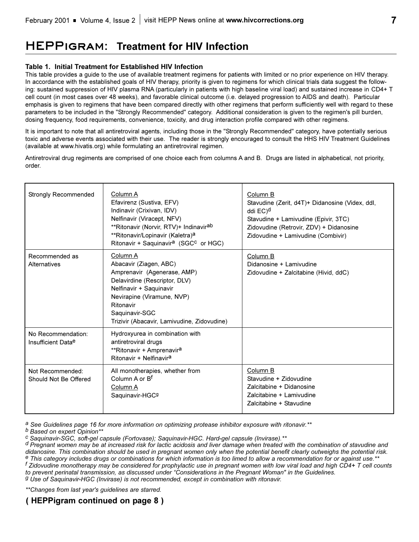# **HEPPigram: Treatment for HIV Infection**

### **Table 1. Initial Treatment for Established HIV Infection**

This table provides a guide to the use of available treatment regimens for patients with limited or no prior experience on HIV therapy. In accordance with the established goals of HIV therapy, priority is given to regimens for which clinical trials data suggest the following: sustained suppression of HIV plasma RNA (particularly in patients with high baseline viral load) and sustained increase in CD4+ T cell count (in most cases over 48 weeks), and favorable clinical outcome (i.e. delayed progression to AIDS and death). Particular emphasis is given to regimens that have been compared directly with other regimens that perform sufficiently well with regard to these parameters to be included in the "Strongly Recommended" category. Additional consideration is given to the regimen's pill burden, dosing frequency, food requirements, convenience, toxicity, and drug interaction profile compared with other regimens.

It is important to note that all antiretroviral agents, including those in the "Strongly Recommended" category, have potentially serious toxic and adverse events associated with their use. The reader is strongly encouraged to consult the HHS HIV Treatment Guidelines (available at www.hivatis.org) while formulating an antiretroviral regimen.

Antiretroviral drug regiments are comprised of one choice each from columns A and B. Drugs are listed in alphabetical, not priority, order.

| <b>Strongly Recommended</b>               | Column A<br>Efavirenz (Sustiva, EFV)<br>Indinavir (Crixivan, IDV)<br>Nelfinavir (Viracept, NFV)<br>**Ritonavir (Norvir, RTV)+ Indinavir <sup>ab</sup><br>**Ritonavir/Lopinavir (Kaletra) <sup>a</sup><br>Ritonavir + Saquinavir <sup>a</sup> (SGC <sup>c</sup> or HGC) | Column B<br>Stavudine (Zerit, d4T)+ Didanosine (Videx, ddl,<br>ddi EC) <sup>d</sup><br>Stavudine + Lamivudine (Epivir, 3TC)<br>Zidovudine (Retrovir, ZDV) + Didanosine<br>Zidovudine + Lamivudine (Combivir) |
|-------------------------------------------|------------------------------------------------------------------------------------------------------------------------------------------------------------------------------------------------------------------------------------------------------------------------|--------------------------------------------------------------------------------------------------------------------------------------------------------------------------------------------------------------|
| Recommended as<br>Alternatives            | Column A<br>Abacavir (Ziagen, ABC)<br>Amprenavir (Agenerase, AMP)<br>Delavirdine (Rescriptor, DLV)<br>Nelfinavir + Saquinavir<br>Nevirapine (Viramune, NVP)<br>Ritonavir<br>Saquinavir-SGC<br>Trizivir (Abacavir, Lamivudine, Zidovudine)                              | Column B<br>Didanosine + Lamivudine<br>Zidovudine + Zalcitabine (Hivid, ddC)                                                                                                                                 |
| No Recommendation:<br>Insufficient Datae  | Hydroxyurea in combination with<br>antiretroviral drugs<br>**Ritonavir + Amprenavir <sup>a</sup><br>Ritonavir + Nelfinavir <sup>a</sup>                                                                                                                                |                                                                                                                                                                                                              |
| Not Recommended:<br>Should Not Be Offered | All monotherapies, whether from<br>Column A or B <sup>f</sup><br>Column A<br>Saquinavir-HGC9                                                                                                                                                                           | Column B<br>Stavudine + Zidovudine<br>Zalcitabine + Didanosine<br>Zalcitabine + Lamivudine<br>Zalcitabine + Stavudine                                                                                        |

*a See Guidelines page 16 for more information on optimizing protease inhibitor exposure with ritonavir.\*\**

*b Based on expert Opinion\*\**

*c Saquinavir-SGC, soft-gel capsule (Fortovase); Saquinavir-HGC. Hard-gel capsule (Invirase).\*\**

*d Pregnant women may be at increased risk for lactic acidosis and liver damage when treated with the combination of stavudine and* <sup>e</sup> This category includes drugs or combinations for which information is too limed to allow a recommendation for or against use.\* *f Zidovudine monotherapy may be considered for prophylactic use in pregnant women with low viral load and high CD4+ T cell counts to prevent perinatal transmission, as discussed under Considerations in the Pregnant Woman" in the Guidelines. g Use of Saquinavir-HGC (Invirase) is not recommended, except in combination with ritonavir.*

*\*\*Changes from last year's guidelines are starred.*

## **( HEPPigram continued on page 8 )**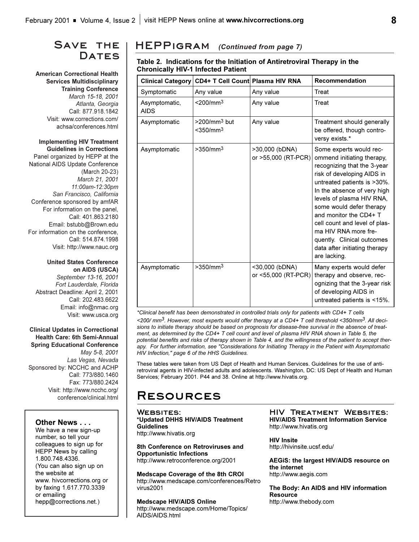## **Save the Dates**

**American Correctional Health Services Multidisciplinary Training Conference** *March 15-18, 2001 Atlanta, Georgia* Call: 877.918.1842 Visit: www.corrections.com/ achsa/conferences.html

### **Implementing HIV Treatment Guidelines in Corrections**

Panel organized by HEPP at the National AIDS Update Conference (March 20-23) *March 21, 2001 11:00am-12:30pm San Francisco, California* Conference sponsored by amfAR For information on the panel, Call: 401.863.2180 Email: bstubb@Brown.edu For information on the conference, Call: 514.874.1998 Visit: http://www.nauc.org

### **United States Conference on AIDS (USCA)**

*September 13-16, 2001 Fort Lauderdale, Florida* Abstract Deadline: April 2, 2001 Call: 202.483.6622 Email: info@nmac.org Visit: www.usca.org

### **Clinical Updates in Correctional Health Care: 6th Semi-Annual Spring Educational Conference**

*May 5-8, 2001 Las Vegas, Nevada*  Sponsored by: NCCHC and ACHP Call: 773/880.1460 Fax: 773/880.2424 Visit: http://www.ncchc.org/ conference/clinical.html

### **Other News . . .**

We have a new sign-up number, so tell your colleagues to sign up for HEPP News by calling 1.800.748.4336. (You can also sign up on the website at www. hivcorrections.org or by faxing 1.617.770.3339 or emailing hepp@corrections.net.)

## **HEPPigram** *(Continued from page 7)*

### **Table 2. Indications for the Initiation of Antiretroviral Therapy in the Chronically HIV-1 Infected Patient**

| <b>Clinical Category</b>     | CD4+ T Cell Count Plasma HIV RNA                    |                                       | <b>Recommendation</b>                                                                                                                                                                                                                                                                                                                                                                                       |
|------------------------------|-----------------------------------------------------|---------------------------------------|-------------------------------------------------------------------------------------------------------------------------------------------------------------------------------------------------------------------------------------------------------------------------------------------------------------------------------------------------------------------------------------------------------------|
| Symptomatic                  | Any value                                           | Any value                             | Treat                                                                                                                                                                                                                                                                                                                                                                                                       |
| Asymptomatic,<br><b>AIDS</b> | $<$ 200/mm <sup>3</sup>                             | Any value                             | Treat                                                                                                                                                                                                                                                                                                                                                                                                       |
| Asymptomatic                 | >200/mm <sup>3</sup> but<br>$<$ 350/mm <sup>3</sup> | Any value                             | Treatment should generally<br>be offered, though contro-<br>versy exists.*                                                                                                                                                                                                                                                                                                                                  |
| Asymptomatic                 | >350/mm <sup>3</sup>                                | >30,000 (bDNA)<br>or >55,000 (RT-PCR) | Some experts would rec-<br>ommend initiating therapy,<br>recognizing that the 3-year<br>risk of developing AIDS in<br>untreated patients is >30%.<br>In the absence of very high<br>levels of plasma HIV RNA,<br>some would defer therapy<br>and monitor the CD4+ T<br>cell count and level of plas-<br>ma HIV RNA more fre-<br>quently. Clinical outcomes<br>data after initiating therapy<br>are lacking. |
| Asymptomatic                 | >350/mm <sup>3</sup>                                | <30,000 (bDNA)<br>or <55,000 (RT-PCR) | Many experts would defer<br>therapy and observe, rec-<br>ognizing that the 3-year risk<br>of developing AIDS in<br>untreated patients is <15%.                                                                                                                                                                                                                                                              |

*\*Clinical benefit has been demonstrated in controlled trials only for patients with CD4+ T cells <200/ mm3. However, most experts would offer therapy at a CD4+ T cell threshold <350/mm3. All decisions to initiate therapy should be based on prognosis for disease-free survival in the absence of treatment, as determined by the CD4+ T cell count and level of plasma HIV RNA shown in Table 5, the potential benefits and risks of therapy shown in Table 4, and the willingness of the patient to accept therapy. For further information, see "Considerations for Initiating Therapy in the Patient with Asymptomatic HIV Infection," page 6 of the HHS Guidelines.* 

These tables were taken from US Dept of Health and Human Services. Guidelines for the use of antiretroviral agents in HIV-infected adults and adolescents. Washington, DC: US Dept of Health and Human Services; February 2001. P44 and 38. Online at http://www.hivatis.org.

# **Resources**

WEBSITES: **\*Updated DHHS HIV/AIDS Treatment Guidelines** http://www.hivatis.org

**8th Conference on Retroviruses and Opportunistic Infections** http://www.retroconference.org/2001

**Medscape Coverage of the 8th CROI** http://www.medscape.com/conferences/Retro virus2001

### **Medscape HIV/AIDS Online**

http://www.medscape.com/Home/Topics/ AIDS/AIDS.html

**HIV Treatment Websites: HIV/AIDS Treatment Information Service** http://www.hivatis.org

**HIV Insite** http://hivinsite.ucsf.edu/

**AEGiS: the largest HIV/AIDS resource on the internet** http://www.aegis.com

**The Body: An AIDS and HIV information Resource** http://www.thebody.com